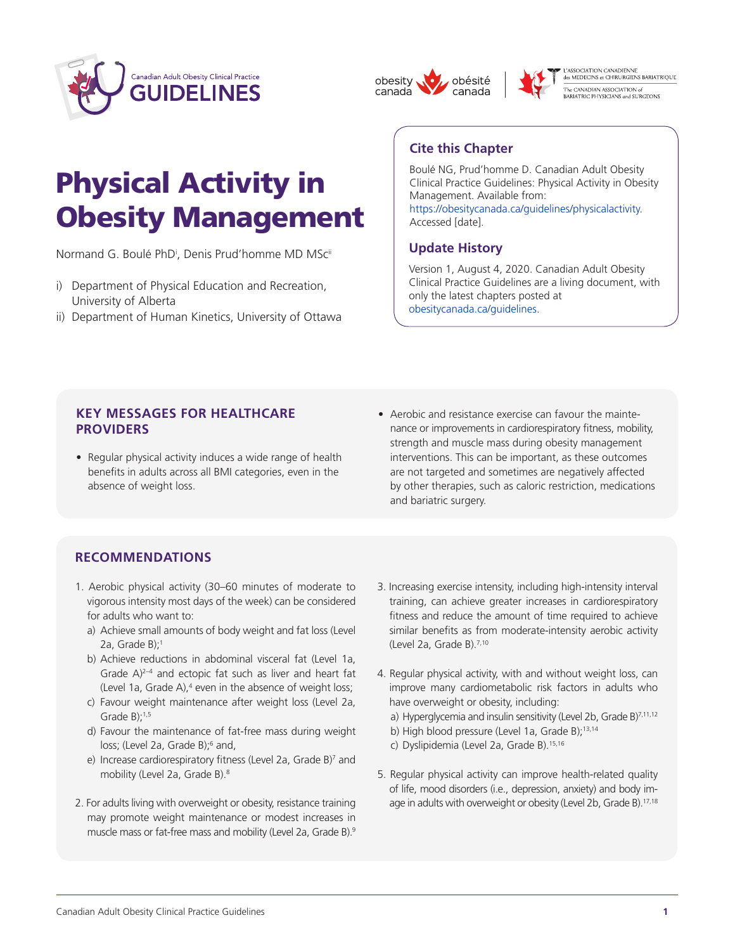





L'ASSOCIATION CANADIENNE<br>des MEDECINS et CHIRURGIENS BARIATRIQUE -<br>The CANADIAN ASSOCIATION of<br>BARIATRIC PHYSICIANS and SURGEONS

# Physical Activity in Obesity Management

Normand G. Boulé PhD<sup>i</sup>, Denis Prud'homme MD MSc<sup>ii</sup>

- i) Department of Physical Education and Recreation, University of Alberta
- ii) Department of Human Kinetics, University of Ottawa

## **Cite this Chapter**

Boulé NG, Prud'homme D. Canadian Adult Obesity Clinical Practice Guidelines: Physical Activity in Obesity Management. Available from: [https://obesitycanada.ca/guidelines/physicalactivity.](https://obesitycanada.ca/guidelines/physicalactivity/) Accessed [date].

## **Update History**

Version 1, August 4, 2020. Canadian Adult Obesity Clinical Practice Guidelines are a living document, with only the latest chapters posted at [obesitycanada.ca/guidelines.](https://obesitycanada.ca/guidelines/)

## **KEY MESSAGES FOR HEALTHCARE PROVIDERS**

- Regular physical activity induces a wide range of health benefits in adults across all BMI categories, even in the absence of weight loss.
- Aerobic and resistance exercise can favour the maintenance or improvements in cardiorespiratory fitness, mobility, strength and muscle mass during obesity management interventions. This can be important, as these outcomes are not targeted and sometimes are negatively affected by other therapies, such as caloric restriction, medications and bariatric surgery.

## **RECOMMENDATIONS**

- 1. Aerobic physical activity (30–60 minutes of moderate to vigorous intensity most days of the week) can be considered for adults who want to:
	- a) Achieve small amounts of body weight and fat loss (Level 2a, Grade B):<sup>1</sup>
	- b) Achieve reductions in abdominal visceral fat (Level 1a, Grade A)<sup>2-4</sup> and ectopic fat such as liver and heart fat (Level 1a, Grade A), $4$  even in the absence of weight loss;
	- c) Favour weight maintenance after weight loss (Level 2a, Grade  $B$ ): $1,5$
	- d) Favour the maintenance of fat-free mass during weight loss; (Level 2a, Grade B);<sup>6</sup> and,
	- e) Increase cardiorespiratory fitness (Level 2a, Grade B)<sup>7</sup> and mobility (Level 2a, Grade B).<sup>8</sup>
- 2. For adults living with overweight or obesity, resistance training may promote weight maintenance or modest increases in muscle mass or fat-free mass and mobility (Level 2a, Grade B).<sup>9</sup>
- 3. Increasing exercise intensity, including high-intensity interval training, can achieve greater increases in cardiorespiratory fitness and reduce the amount of time required to achieve similar benefits as from moderate-intensity aerobic activity (Level 2a, Grade B).7,10
- 4. Regular physical activity, with and without weight loss, can improve many cardiometabolic risk factors in adults who have overweight or obesity, including:
	- a) Hyperglycemia and insulin sensitivity (Level 2b, Grade B) $^{7,11,12}$
	- b) High blood pressure (Level 1a, Grade B);<sup>13,14</sup>
	- c) Dyslipidemia (Level 2a, Grade B).<sup>15,16</sup>
- 5. Regular physical activity can improve health-related quality of life, mood disorders (i.e., depression, anxiety) and body image in adults with overweight or obesity (Level 2b, Grade B).<sup>17,18</sup>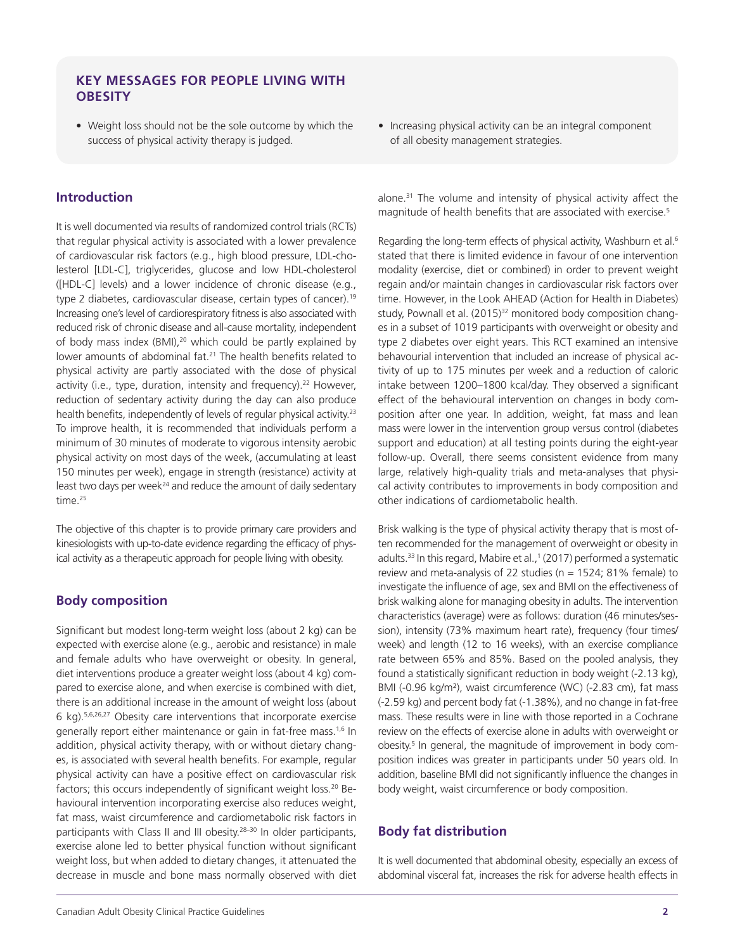## **KEY MESSAGES FOR PEOPLE LIVING WITH OBESITY**

• Weight loss should not be the sole outcome by which the success of physical activity therapy is judged.

### **Introduction**

It is well documented via results of randomized control trials (RCTs) that regular physical activity is associated with a lower prevalence of cardiovascular risk factors (e.g., high blood pressure, LDL-cholesterol [LDL-C], triglycerides, glucose and low HDL-cholesterol ([HDL-C] levels) and a lower incidence of chronic disease (e.g., type 2 diabetes, cardiovascular disease, certain types of cancer).<sup>19</sup> Increasing one's level of cardiorespiratory fitness is also associated with reduced risk of chronic disease and all-cause mortality, independent of body mass index (BMI),<sup>20</sup> which could be partly explained by lower amounts of abdominal fat.<sup>21</sup> The health benefits related to physical activity are partly associated with the dose of physical activity (i.e., type, duration, intensity and frequency).<sup>22</sup> However, reduction of sedentary activity during the day can also produce health benefits, independently of levels of regular physical activity.<sup>23</sup> To improve health, it is recommended that individuals perform a minimum of 30 minutes of moderate to vigorous intensity aerobic physical activity on most days of the week, (accumulating at least 150 minutes per week), engage in strength (resistance) activity at least two days per week<sup>24</sup> and reduce the amount of daily sedentary time.<sup>25</sup>

The objective of this chapter is to provide primary care providers and kinesiologists with up-to-date evidence regarding the efficacy of physical activity as a therapeutic approach for people living with obesity.

## **Body composition**

Significant but modest long-term weight loss (about 2 kg) can be expected with exercise alone (e.g., aerobic and resistance) in male and female adults who have overweight or obesity. In general, diet interventions produce a greater weight loss (about 4 kg) compared to exercise alone, and when exercise is combined with diet, there is an additional increase in the amount of weight loss (about 6 kg).5,6,26,27 Obesity care interventions that incorporate exercise generally report either maintenance or gain in fat-free mass.<sup>1,6</sup> In addition, physical activity therapy, with or without dietary changes, is associated with several health benefits. For example, regular physical activity can have a positive effect on cardiovascular risk factors; this occurs independently of significant weight loss.<sup>20</sup> Behavioural intervention incorporating exercise also reduces weight, fat mass, waist circumference and cardiometabolic risk factors in participants with Class II and III obesity.<sup>28-30</sup> In older participants, exercise alone led to better physical function without significant weight loss, but when added to dietary changes, it attenuated the decrease in muscle and bone mass normally observed with diet

• Increasing physical activity can be an integral component of all obesity management strategies.

alone.31 The volume and intensity of physical activity affect the magnitude of health benefits that are associated with exercise.<sup>5</sup>

Regarding the long-term effects of physical activity, Washburn et al.<sup>6</sup> stated that there is limited evidence in favour of one intervention modality (exercise, diet or combined) in order to prevent weight regain and/or maintain changes in cardiovascular risk factors over time. However, in the Look AHEAD (Action for Health in Diabetes) study, Pownall et al. (2015)<sup>32</sup> monitored body composition changes in a subset of 1019 participants with overweight or obesity and type 2 diabetes over eight years. This RCT examined an intensive behavourial intervention that included an increase of physical activity of up to 175 minutes per week and a reduction of caloric intake between 1200–1800 kcal/day. They observed a significant effect of the behavioural intervention on changes in body composition after one year. In addition, weight, fat mass and lean mass were lower in the intervention group versus control (diabetes support and education) at all testing points during the eight-year follow-up. Overall, there seems consistent evidence from many large, relatively high-quality trials and meta-analyses that physical activity contributes to improvements in body composition and other indications of cardiometabolic health.

Brisk walking is the type of physical activity therapy that is most often recommended for the management of overweight or obesity in adults.<sup>33</sup> In this regard, Mabire et al.,<sup>1</sup> (2017) performed a systematic review and meta-analysis of 22 studies (n = 1524; 81% female) to investigate the influence of age, sex and BMI on the effectiveness of brisk walking alone for managing obesity in adults. The intervention characteristics (average) were as follows: duration (46 minutes/session), intensity (73% maximum heart rate), frequency (four times/ week) and length (12 to 16 weeks), with an exercise compliance rate between 65% and 85%. Based on the pooled analysis, they found a statistically significant reduction in body weight (-2.13 kg), BMI (-0.96 kg/m<sup>2</sup>), waist circumference (WC) (-2.83 cm), fat mass (-2.59 kg) and percent body fat (-1.38%), and no change in fat-free mass. These results were in line with those reported in a Cochrane review on the effects of exercise alone in adults with overweight or obesity.<sup>5</sup> In general, the magnitude of improvement in body composition indices was greater in participants under 50 years old. In addition, baseline BMI did not significantly influence the changes in body weight, waist circumference or body composition.

## **Body fat distribution**

It is well documented that abdominal obesity, especially an excess of abdominal visceral fat, increases the risk for adverse health effects in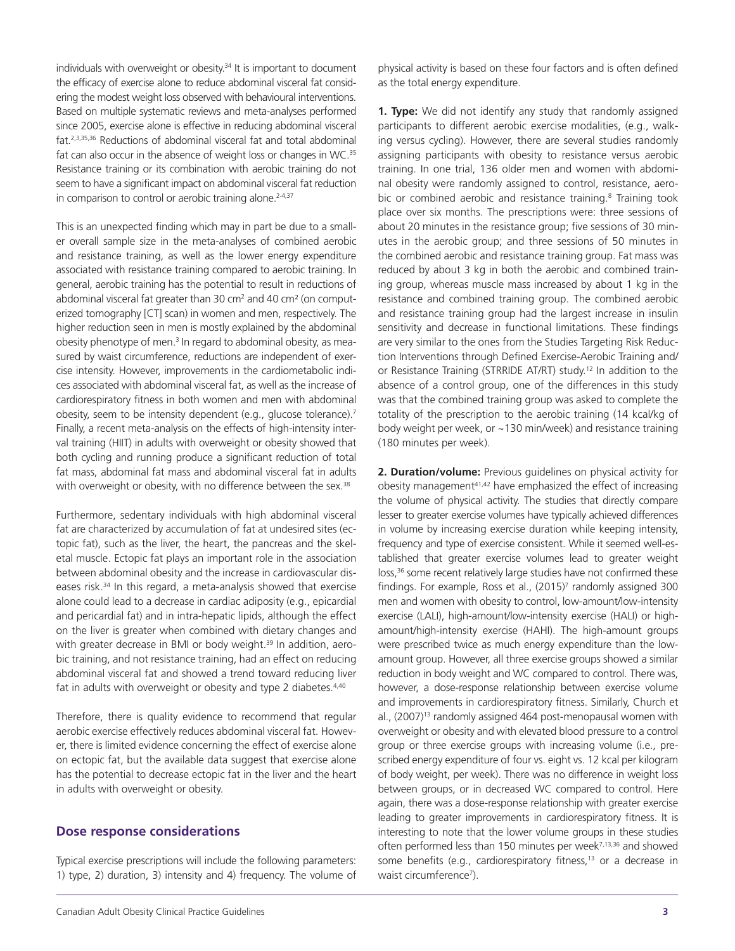individuals with overweight or obesity.<sup>34</sup> It is important to document the efficacy of exercise alone to reduce abdominal visceral fat considering the modest weight loss observed with behavioural interventions. Based on multiple systematic reviews and meta-analyses performed since 2005, exercise alone is effective in reducing abdominal visceral fat.2,3,35,36 Reductions of abdominal visceral fat and total abdominal fat can also occur in the absence of weight loss or changes in WC.<sup>35</sup> Resistance training or its combination with aerobic training do not seem to have a significant impact on abdominal visceral fat reduction in comparison to control or aerobic training alone.<sup>2-4,37</sup>

This is an unexpected finding which may in part be due to a smaller overall sample size in the meta-analyses of combined aerobic and resistance training, as well as the lower energy expenditure associated with resistance training compared to aerobic training. In general, aerobic training has the potential to result in reductions of abdominal visceral fat greater than 30 cm<sup>2</sup> and 40 cm<sup>2</sup> (on computerized tomography [CT] scan) in women and men, respectively. The higher reduction seen in men is mostly explained by the abdominal obesity phenotype of men.<sup>3</sup> In regard to abdominal obesity, as measured by waist circumference, reductions are independent of exercise intensity. However, improvements in the cardiometabolic indices associated with abdominal visceral fat, as well as the increase of cardiorespiratory fitness in both women and men with abdominal obesity, seem to be intensity dependent (e.g., glucose tolerance).<sup>7</sup> Finally, a recent meta-analysis on the effects of high-intensity interval training (HIIT) in adults with overweight or obesity showed that both cycling and running produce a significant reduction of total fat mass, abdominal fat mass and abdominal visceral fat in adults with overweight or obesity, with no difference between the sex.<sup>38</sup>

Furthermore, sedentary individuals with high abdominal visceral fat are characterized by accumulation of fat at undesired sites (ectopic fat), such as the liver, the heart, the pancreas and the skeletal muscle. Ectopic fat plays an important role in the association between abdominal obesity and the increase in cardiovascular diseases risk.<sup>34</sup> In this regard, a meta-analysis showed that exercise alone could lead to a decrease in cardiac adiposity (e.g., epicardial and pericardial fat) and in intra-hepatic lipids, although the effect on the liver is greater when combined with dietary changes and with greater decrease in BMI or body weight.<sup>39</sup> In addition, aerobic training, and not resistance training, had an effect on reducing abdominal visceral fat and showed a trend toward reducing liver fat in adults with overweight or obesity and type 2 diabetes.<sup>4,40</sup>

Therefore, there is quality evidence to recommend that regular aerobic exercise effectively reduces abdominal visceral fat. However, there is limited evidence concerning the effect of exercise alone on ectopic fat, but the available data suggest that exercise alone has the potential to decrease ectopic fat in the liver and the heart in adults with overweight or obesity.

#### **Dose response considerations**

Typical exercise prescriptions will include the following parameters: 1) type, 2) duration, 3) intensity and 4) frequency. The volume of physical activity is based on these four factors and is often defined as the total energy expenditure.

**1. Type:** We did not identify any study that randomly assigned participants to different aerobic exercise modalities, (e.g., walking versus cycling). However, there are several studies randomly assigning participants with obesity to resistance versus aerobic training. In one trial, 136 older men and women with abdominal obesity were randomly assigned to control, resistance, aerobic or combined aerobic and resistance training.<sup>8</sup> Training took place over six months. The prescriptions were: three sessions of about 20 minutes in the resistance group; five sessions of 30 minutes in the aerobic group; and three sessions of 50 minutes in the combined aerobic and resistance training group. Fat mass was reduced by about 3 kg in both the aerobic and combined training group, whereas muscle mass increased by about 1 kg in the resistance and combined training group. The combined aerobic and resistance training group had the largest increase in insulin sensitivity and decrease in functional limitations. These findings are very similar to the ones from the Studies Targeting Risk Reduction Interventions through Defined Exercise-Aerobic Training and/ or Resistance Training (STRRIDE AT/RT) study.12 In addition to the absence of a control group, one of the differences in this study was that the combined training group was asked to complete the totality of the prescription to the aerobic training (14 kcal/kg of body weight per week, or ~130 min/week) and resistance training (180 minutes per week).

**2. Duration/volume:** Previous guidelines on physical activity for obesity management<sup>41,42</sup> have emphasized the effect of increasing the volume of physical activity. The studies that directly compare lesser to greater exercise volumes have typically achieved differences in volume by increasing exercise duration while keeping intensity, frequency and type of exercise consistent. While it seemed well-established that greater exercise volumes lead to greater weight loss,<sup>36</sup> some recent relatively large studies have not confirmed these findings. For example, Ross et al., (2015)<sup>7</sup> randomly assigned 300 men and women with obesity to control, low-amount/low-intensity exercise (LALI), high-amount/low-intensity exercise (HALI) or highamount/high-intensity exercise (HAHI). The high-amount groups were prescribed twice as much energy expenditure than the lowamount group. However, all three exercise groups showed a similar reduction in body weight and WC compared to control. There was, however, a dose-response relationship between exercise volume and improvements in cardiorespiratory fitness. Similarly, Church et al., (2007)<sup>13</sup> randomly assigned 464 post-menopausal women with overweight or obesity and with elevated blood pressure to a control group or three exercise groups with increasing volume (i.e., prescribed energy expenditure of four vs. eight vs. 12 kcal per kilogram of body weight, per week). There was no difference in weight loss between groups, or in decreased WC compared to control. Here again, there was a dose-response relationship with greater exercise leading to greater improvements in cardiorespiratory fitness. It is interesting to note that the lower volume groups in these studies often performed less than 150 minutes per week<sup>7,13,36</sup> and showed some benefits (e.g., cardiorespiratory fitness,<sup>13</sup> or a decrease in waist circumference<sup>7</sup>).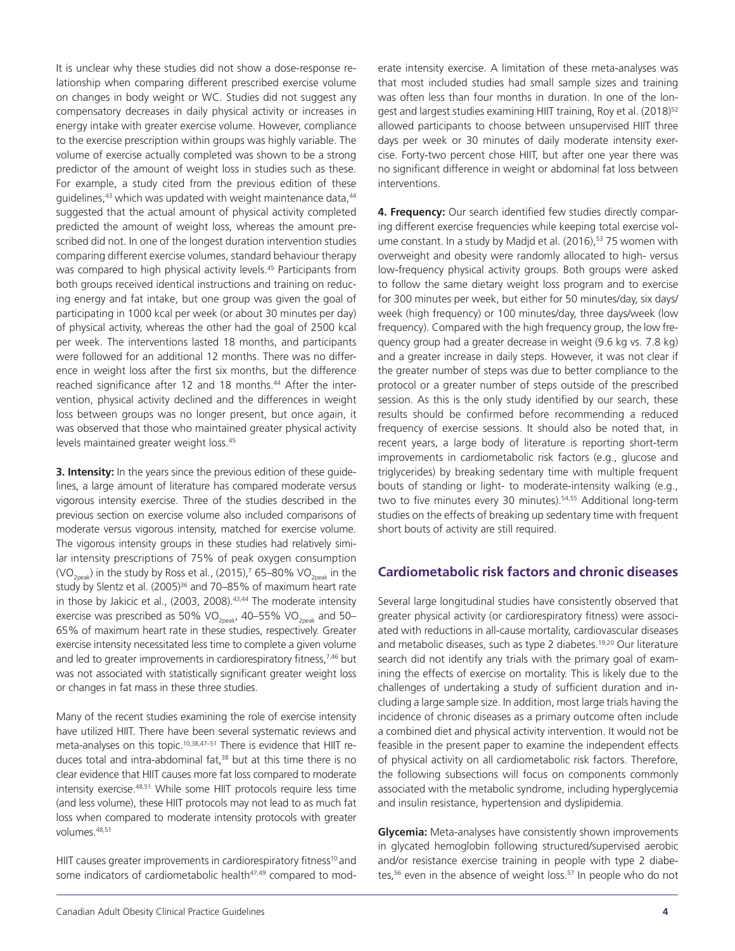It is unclear why these studies did not show a dose-response relationship when comparing different prescribed exercise volume on changes in body weight or WC. Studies did not suggest any compensatory decreases in daily physical activity or increases in energy intake with greater exercise volume. However, compliance to the exercise prescription within groups was highly variable. The volume of exercise actually completed was shown to be a strong predictor of the amount of weight loss in studies such as these. For example, a study cited from the previous edition of these guidelines,<sup>43</sup> which was updated with weight maintenance data,<sup>44</sup> suggested that the actual amount of physical activity completed predicted the amount of weight loss, whereas the amount prescribed did not. In one of the longest duration intervention studies comparing different exercise volumes, standard behaviour therapy was compared to high physical activity levels.<sup>45</sup> Participants from both groups received identical instructions and training on reducing energy and fat intake, but one group was given the goal of participating in 1000 kcal per week (or about 30 minutes per day) of physical activity, whereas the other had the goal of 2500 kcal per week. The interventions lasted 18 months, and participants were followed for an additional 12 months. There was no difference in weight loss after the first six months, but the difference reached significance after 12 and 18 months.<sup>44</sup> After the intervention, physical activity declined and the differences in weight loss between groups was no longer present, but once again, it was observed that those who maintained greater physical activity levels maintained greater weight loss.45

**3. Intensity:** In the years since the previous edition of these guidelines, a large amount of literature has compared moderate versus vigorous intensity exercise. Three of the studies described in the previous section on exercise volume also included comparisons of moderate versus vigorous intensity, matched for exercise volume. The vigorous intensity groups in these studies had relatively similar intensity prescriptions of 75% of peak oxygen consumption (VO<sub>2neak</sub>) in the study by Ross et al., (2015),<sup>7</sup> 65–80% VO<sub>2neak</sub> in the study by Slentz et al. (2005)<sup>36</sup> and 70-85% of maximum heart rate in those by Jakicic et al., (2003, 2008).<sup>43,44</sup> The moderate intensity exercise was prescribed as 50% VO<sub>2peak</sub>, 40–55% VO<sub>2peak</sub> and 50– 65% of maximum heart rate in these studies, respectively. Greater exercise intensity necessitated less time to complete a given volume and led to greater improvements in cardiorespiratory fitness,<sup>7,46</sup> but was not associated with statistically significant greater weight loss or changes in fat mass in these three studies.

Many of the recent studies examining the role of exercise intensity have utilized HIIT. There have been several systematic reviews and meta-analyses on this topic.10,38,47–51 There is evidence that HIIT reduces total and intra-abdominal fat,<sup>38</sup> but at this time there is no clear evidence that HIIT causes more fat loss compared to moderate intensity exercise.48,51 While some HIIT protocols require less time (and less volume), these HIIT protocols may not lead to as much fat loss when compared to moderate intensity protocols with greater volumes.48,51

HIIT causes greater improvements in cardiorespiratory fitness<sup>10</sup> and some indicators of cardiometabolic health<sup>47,49</sup> compared to moderate intensity exercise. A limitation of these meta-analyses was that most included studies had small sample sizes and training was often less than four months in duration. In one of the longest and largest studies examining HIIT training, Roy et al. (2018)<sup>52</sup> allowed participants to choose between unsupervised HIIT three days per week or 30 minutes of daily moderate intensity exercise. Forty-two percent chose HIIT, but after one year there was no significant difference in weight or abdominal fat loss between interventions.

**4. Frequency:** Our search identified few studies directly comparing different exercise frequencies while keeping total exercise volume constant. In a study by Madjd et al. (2016),<sup>53</sup> 75 women with overweight and obesity were randomly allocated to high- versus low-frequency physical activity groups. Both groups were asked to follow the same dietary weight loss program and to exercise for 300 minutes per week, but either for 50 minutes/day, six days/ week (high frequency) or 100 minutes/day, three days/week (low frequency). Compared with the high frequency group, the low frequency group had a greater decrease in weight (9.6 kg vs. 7.8 kg) and a greater increase in daily steps. However, it was not clear if the greater number of steps was due to better compliance to the protocol or a greater number of steps outside of the prescribed session. As this is the only study identified by our search, these results should be confirmed before recommending a reduced frequency of exercise sessions. It should also be noted that, in recent years, a large body of literature is reporting short-term improvements in cardiometabolic risk factors (e.g., glucose and triglycerides) by breaking sedentary time with multiple frequent bouts of standing or light- to moderate-intensity walking (e.g., two to five minutes every 30 minutes).<sup>54,55</sup> Additional long-term studies on the effects of breaking up sedentary time with frequent short bouts of activity are still required.

### **Cardiometabolic risk factors and chronic diseases**

Several large longitudinal studies have consistently observed that greater physical activity (or cardiorespiratory fitness) were associated with reductions in all-cause mortality, cardiovascular diseases and metabolic diseases, such as type 2 diabetes.<sup>19,20</sup> Our literature search did not identify any trials with the primary goal of examining the effects of exercise on mortality. This is likely due to the challenges of undertaking a study of sufficient duration and including a large sample size. In addition, most large trials having the incidence of chronic diseases as a primary outcome often include a combined diet and physical activity intervention. It would not be feasible in the present paper to examine the independent effects of physical activity on all cardiometabolic risk factors. Therefore, the following subsections will focus on components commonly associated with the metabolic syndrome, including hyperglycemia and insulin resistance, hypertension and dyslipidemia.

**Glycemia:** Meta-analyses have consistently shown improvements in glycated hemoglobin following structured/supervised aerobic and/or resistance exercise training in people with type 2 diabetes,<sup>56</sup> even in the absence of weight loss.<sup>57</sup> In people who do not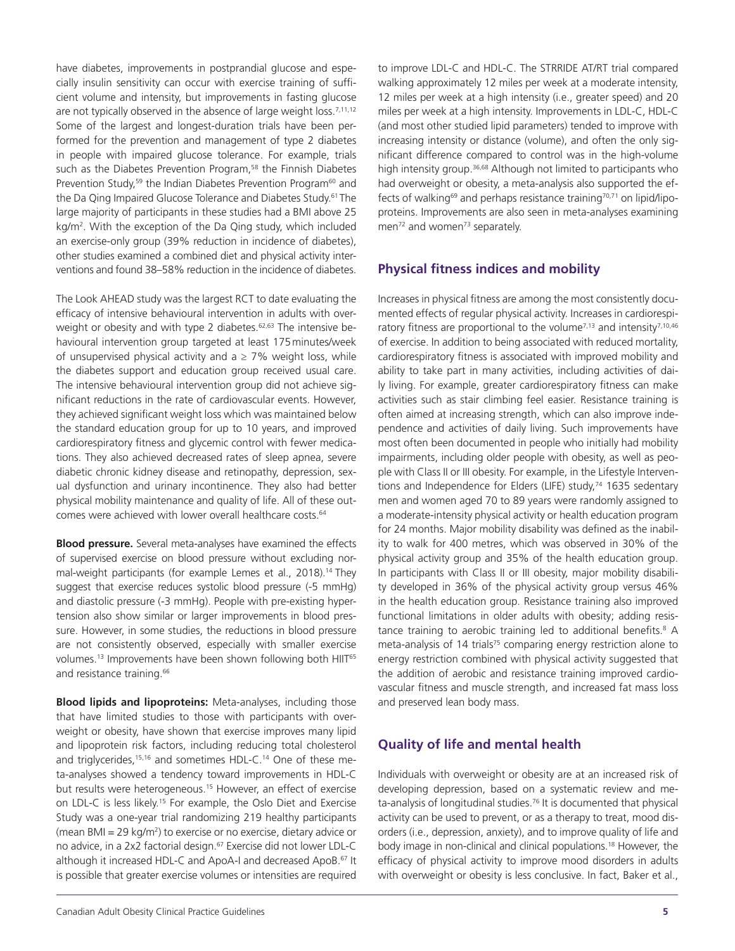have diabetes, improvements in postprandial glucose and especially insulin sensitivity can occur with exercise training of sufficient volume and intensity, but improvements in fasting glucose are not typically observed in the absence of large weight loss.<sup>7,11,12</sup> Some of the largest and longest-duration trials have been performed for the prevention and management of type 2 diabetes in people with impaired glucose tolerance. For example, trials such as the Diabetes Prevention Program,<sup>58</sup> the Finnish Diabetes Prevention Study,<sup>59</sup> the Indian Diabetes Prevention Program<sup>60</sup> and the Da Qing Impaired Glucose Tolerance and Diabetes Study.<sup>61</sup> The large majority of participants in these studies had a BMI above 25 kg/m2 . With the exception of the Da Qing study, which included an exercise-only group (39% reduction in incidence of diabetes), other studies examined a combined diet and physical activity interventions and found 38–58% reduction in the incidence of diabetes.

The Look AHEAD study was the largest RCT to date evaluating the efficacy of intensive behavioural intervention in adults with overweight or obesity and with type 2 diabetes.<sup>62,63</sup> The intensive behavioural intervention group targeted at least 175minutes/week of unsupervised physical activity and  $a \ge 7\%$  weight loss, while the diabetes support and education group received usual care. The intensive behavioural intervention group did not achieve significant reductions in the rate of cardiovascular events. However, they achieved significant weight loss which was maintained below the standard education group for up to 10 years, and improved cardiorespiratory fitness and glycemic control with fewer medications. They also achieved decreased rates of sleep apnea, severe diabetic chronic kidney disease and retinopathy, depression, sexual dysfunction and urinary incontinence. They also had better physical mobility maintenance and quality of life. All of these outcomes were achieved with lower overall healthcare costs.<sup>64</sup>

**Blood pressure.** Several meta-analyses have examined the effects of supervised exercise on blood pressure without excluding normal-weight participants (for example Lemes et al., 2018).<sup>14</sup> They suggest that exercise reduces systolic blood pressure (-5 mmHg) and diastolic pressure (-3 mmHg). People with pre-existing hypertension also show similar or larger improvements in blood pressure. However, in some studies, the reductions in blood pressure are not consistently observed, especially with smaller exercise volumes.<sup>13</sup> Improvements have been shown following both HIIT<sup>65</sup> and resistance training.<sup>66</sup>

**Blood lipids and lipoproteins:** Meta-analyses, including those that have limited studies to those with participants with overweight or obesity, have shown that exercise improves many lipid and lipoprotein risk factors, including reducing total cholesterol and triglycerides,<sup>15,16</sup> and sometimes HDL-C.<sup>14</sup> One of these meta-analyses showed a tendency toward improvements in HDL-C but results were heterogeneous.<sup>15</sup> However, an effect of exercise on LDL-C is less likely.<sup>15</sup> For example, the Oslo Diet and Exercise Study was a one-year trial randomizing 219 healthy participants (mean BMI = 29 kg/m<sup>2</sup>) to exercise or no exercise, dietary advice or no advice, in a 2x2 factorial design.<sup>67</sup> Exercise did not lower LDL-C although it increased HDL-C and ApoA-I and decreased ApoB.<sup>67</sup> It is possible that greater exercise volumes or intensities are required

to improve LDL-C and HDL-C. The STRRIDE AT/RT trial compared walking approximately 12 miles per week at a moderate intensity, 12 miles per week at a high intensity (i.e., greater speed) and 20 miles per week at a high intensity. Improvements in LDL-C, HDL-C (and most other studied lipid parameters) tended to improve with increasing intensity or distance (volume), and often the only significant difference compared to control was in the high-volume high intensity group.<sup>36,68</sup> Although not limited to participants who had overweight or obesity, a meta-analysis also supported the effects of walking<sup>69</sup> and perhaps resistance training<sup>70,71</sup> on lipid/lipoproteins. Improvements are also seen in meta-analyses examining men<sup>72</sup> and women<sup>73</sup> separately.

## **Physical fitness indices and mobility**

Increases in physical fitness are among the most consistently documented effects of regular physical activity. Increases in cardiorespiratory fitness are proportional to the volume<sup>7,13</sup> and intensity<sup>7,10,46</sup> of exercise. In addition to being associated with reduced mortality, cardiorespiratory fitness is associated with improved mobility and ability to take part in many activities, including activities of daily living. For example, greater cardiorespiratory fitness can make activities such as stair climbing feel easier. Resistance training is often aimed at increasing strength, which can also improve independence and activities of daily living. Such improvements have most often been documented in people who initially had mobility impairments, including older people with obesity, as well as people with Class II or III obesity. For example, in the Lifestyle Interventions and Independence for Elders (LIFE) study,<sup>74</sup> 1635 sedentary men and women aged 70 to 89 years were randomly assigned to a moderate-intensity physical activity or health education program for 24 months. Major mobility disability was defined as the inability to walk for 400 metres, which was observed in 30% of the physical activity group and 35% of the health education group. In participants with Class II or III obesity, major mobility disability developed in 36% of the physical activity group versus 46% in the health education group. Resistance training also improved functional limitations in older adults with obesity; adding resistance training to aerobic training led to additional benefits.<sup>8</sup> A meta-analysis of 14 trials<sup>75</sup> comparing energy restriction alone to energy restriction combined with physical activity suggested that the addition of aerobic and resistance training improved cardiovascular fitness and muscle strength, and increased fat mass loss and preserved lean body mass.

## **Quality of life and mental health**

Individuals with overweight or obesity are at an increased risk of developing depression, based on a systematic review and meta-analysis of longitudinal studies.<sup>76</sup> It is documented that physical activity can be used to prevent, or as a therapy to treat, mood disorders (i.e., depression, anxiety), and to improve quality of life and body image in non-clinical and clinical populations.18 However, the efficacy of physical activity to improve mood disorders in adults with overweight or obesity is less conclusive. In fact, Baker et al.,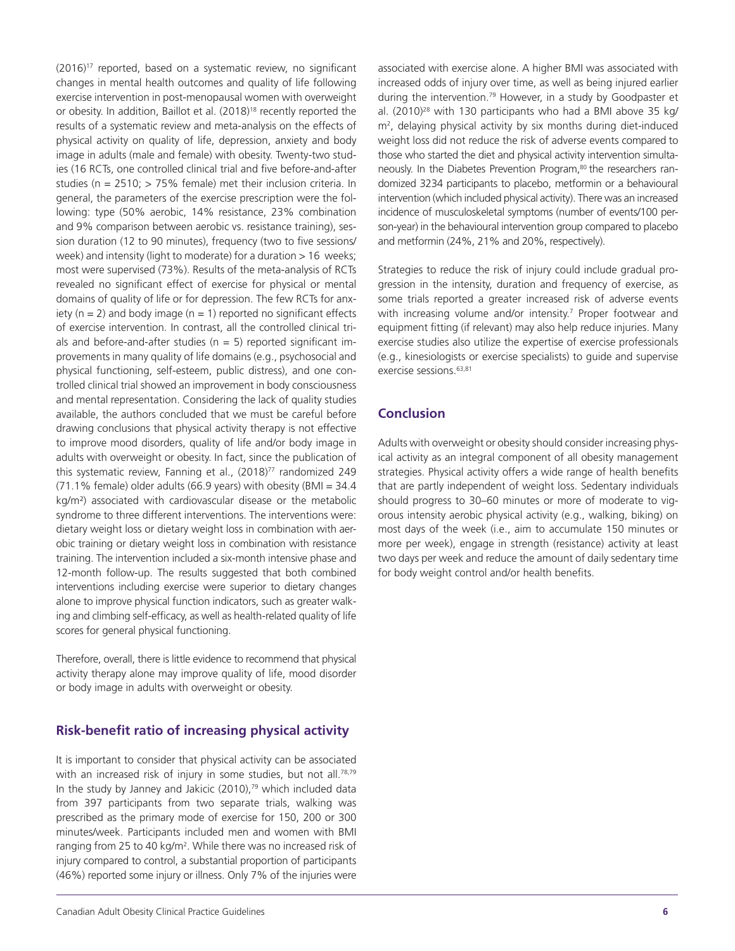$(2016)^{17}$  reported, based on a systematic review, no significant changes in mental health outcomes and quality of life following exercise intervention in post-menopausal women with overweight or obesity. In addition, Baillot et al. (2018)<sup>18</sup> recently reported the results of a systematic review and meta-analysis on the effects of physical activity on quality of life, depression, anxiety and body image in adults (male and female) with obesity. Twenty-two studies (16 RCTs, one controlled clinical trial and five before-and-after studies (n = 2510; > 75% female) met their inclusion criteria. In general, the parameters of the exercise prescription were the following: type (50% aerobic, 14% resistance, 23% combination and 9% comparison between aerobic vs. resistance training), session duration (12 to 90 minutes), frequency (two to five sessions/ week) and intensity (light to moderate) for a duration > 16 weeks; most were supervised (73%). Results of the meta-analysis of RCTs revealed no significant effect of exercise for physical or mental domains of quality of life or for depression. The few RCTs for anxiety ( $n = 2$ ) and body image ( $n = 1$ ) reported no significant effects of exercise intervention. In contrast, all the controlled clinical trials and before-and-after studies ( $n = 5$ ) reported significant improvements in many quality of life domains (e.g., psychosocial and physical functioning, self-esteem, public distress), and one controlled clinical trial showed an improvement in body consciousness and mental representation. Considering the lack of quality studies available, the authors concluded that we must be careful before drawing conclusions that physical activity therapy is not effective to improve mood disorders, quality of life and/or body image in adults with overweight or obesity. In fact, since the publication of this systematic review, Fanning et al., (2018)<sup>77</sup> randomized 249 (71.1% female) older adults (66.9 years) with obesity (BMI = 34.4 kg/m²) associated with cardiovascular disease or the metabolic syndrome to three different interventions. The interventions were: dietary weight loss or dietary weight loss in combination with aerobic training or dietary weight loss in combination with resistance training. The intervention included a six-month intensive phase and 12-month follow-up. The results suggested that both combined interventions including exercise were superior to dietary changes alone to improve physical function indicators, such as greater walking and climbing self-efficacy, as well as health-related quality of life scores for general physical functioning.

Therefore, overall, there is little evidence to recommend that physical activity therapy alone may improve quality of life, mood disorder or body image in adults with overweight or obesity.

## **Risk-benefit ratio of increasing physical activity**

It is important to consider that physical activity can be associated with an increased risk of injury in some studies, but not all.<sup>78,79</sup> In the study by Janney and Jakicic  $(2010)$ ,<sup>79</sup> which included data from 397 participants from two separate trials, walking was prescribed as the primary mode of exercise for 150, 200 or 300 minutes/week. Participants included men and women with BMI ranging from 25 to 40 kg/m<sup>2</sup>. While there was no increased risk of injury compared to control, a substantial proportion of participants (46%) reported some injury or illness. Only 7% of the injuries were

associated with exercise alone. A higher BMI was associated with increased odds of injury over time, as well as being injured earlier during the intervention.<sup>79</sup> However, in a study by Goodpaster et al. (2010)28 with 130 participants who had a BMI above 35 kg/ m2 , delaying physical activity by six months during diet-induced weight loss did not reduce the risk of adverse events compared to those who started the diet and physical activity intervention simultaneously. In the Diabetes Prevention Program,<sup>80</sup> the researchers randomized 3234 participants to placebo, metformin or a behavioural intervention (which included physical activity). There was an increased incidence of musculoskeletal symptoms (number of events/100 person-year) in the behavioural intervention group compared to placebo and metformin (24%, 21% and 20%, respectively).

Strategies to reduce the risk of injury could include gradual progression in the intensity, duration and frequency of exercise, as some trials reported a greater increased risk of adverse events with increasing volume and/or intensity.<sup>7</sup> Proper footwear and equipment fitting (if relevant) may also help reduce injuries. Many exercise studies also utilize the expertise of exercise professionals (e.g., kinesiologists or exercise specialists) to guide and supervise exercise sessions.<sup>63,81</sup>

## **Conclusion**

Adults with overweight or obesity should consider increasing physical activity as an integral component of all obesity management strategies. Physical activity offers a wide range of health benefits that are partly independent of weight loss. Sedentary individuals should progress to 30–60 minutes or more of moderate to vigorous intensity aerobic physical activity (e.g., walking, biking) on most days of the week (i.e., aim to accumulate 150 minutes or more per week), engage in strength (resistance) activity at least two days per week and reduce the amount of daily sedentary time for body weight control and/or health benefits.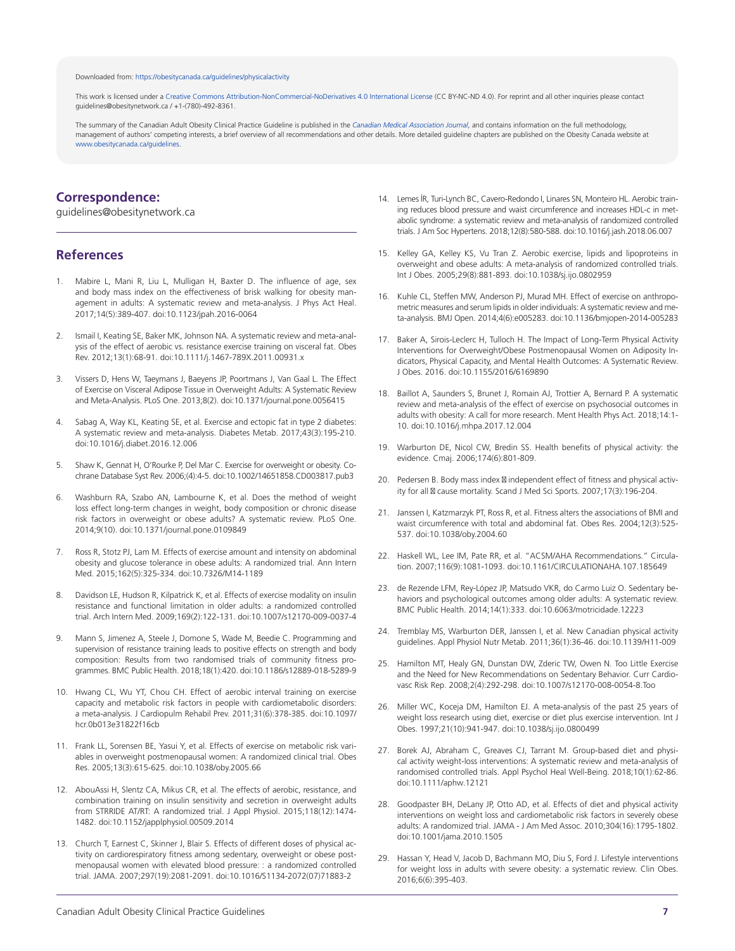#### Downloaded from: [https://obesitycanada.ca/guidelines/physicalactivity](https://obesitycanada.ca/guidelines/physicalactivity/)

This work is licensed under a Creative Commons [Attribution-NonCommercial-NoDerivatives](https://creativecommons.org/licenses/by-nc-nd/4.0/) 4.0 International License (CC BY-NC-ND 4.0). For reprint and all other inquiries please contact guidelines@obesitynetwork.ca / +1-(780)-492-8361.

The summary of the Canadian Adult Obesity Clinical Practice Guideline is published in the *[Canadian Medical Association Journal](https://www.cmaj.ca/content/192/31/E875)*, and contains information on the full methodology, management of authors' competing interests, a brief overview of all recommendations and other details. More detailed guideline chapters are published on the Obesity Canada website at [www.obesitycanada.ca/guidelines.](https://obesitycanada.ca/guidelines/)

## **Correspondence:**

guidelines@obesitynetwork.ca

#### **References**

- 1. Mabire L, Mani R, Liu L, Mulligan H, Baxter D. The influence of age, sex and body mass index on the effectiveness of brisk walking for obesity management in adults: A systematic review and meta-analysis. J Phys Act Heal. 2017;14(5):389-407. doi:10.1123/jpah.2016-0064
- Ismail I, Keating SE, Baker MK, Johnson NA. A systematic review and meta-analysis of the effect of aerobic vs. resistance exercise training on visceral fat. Obes Rev. 2012;13(1):68-91. doi:10.1111/j.1467-789X.2011.00931.x
- 3. Vissers D, Hens W, Taeymans J, Baeyens JP, Poortmans J, Van Gaal L. The Effect of Exercise on Visceral Adipose Tissue in Overweight Adults: A Systematic Review and Meta-Analysis. PLoS One. 2013;8(2). doi:10.1371/journal.pone.0056415
- 4. Sabag A, Way KL, Keating SE, et al. Exercise and ectopic fat in type 2 diabetes: A systematic review and meta-analysis. Diabetes Metab. 2017;43(3):195-210. doi:10.1016/j.diabet.2016.12.006
- 5. Shaw K, Gennat H, O'Rourke P, Del Mar C. Exercise for overweight or obesity. Cochrane Database Syst Rev. 2006;(4):4-5. doi:10.1002/14651858.CD003817.pub3
- 6. Washburn RA, Szabo AN, Lambourne K, et al. Does the method of weight loss effect long-term changes in weight, body composition or chronic disease risk factors in overweight or obese adults? A systematic review. PLoS One. 2014;9(10). doi:10.1371/journal.pone.0109849
- 7. Ross R, Stotz PJ, Lam M. Effects of exercise amount and intensity on abdominal obesity and glucose tolerance in obese adults: A randomized trial. Ann Intern Med. 2015;162(5):325-334. doi:10.7326/M14-1189
- 8. Davidson LE, Hudson R, Kilpatrick K, et al. Effects of exercise modality on insulin resistance and functional limitation in older adults: a randomized controlled trial. Arch Intern Med. 2009;169(2):122-131. doi:10.1007/s12170-009-0037-4
- 9. Mann S, Jimenez A, Steele J, Domone S, Wade M, Beedie C. Programming and supervision of resistance training leads to positive effects on strength and body composition: Results from two randomised trials of community fitness programmes. BMC Public Health. 2018;18(1):420. doi:10.1186/s12889-018-5289-9
- 10. Hwang CL, Wu YT, Chou CH. Effect of aerobic interval training on exercise capacity and metabolic risk factors in people with cardiometabolic disorders: a meta-analysis. J Cardiopulm Rehabil Prev. 2011;31(6):378-385. doi:10.1097/ hcr.0b013e31822f16cb
- 11. Frank LL, Sorensen BE, Yasui Y, et al. Effects of exercise on metabolic risk variables in overweight postmenopausal women: A randomized clinical trial. Obes Res. 2005;13(3):615-625. doi:10.1038/oby.2005.66
- 12. AbouAssi H, Slentz CA, Mikus CR, et al. The effects of aerobic, resistance, and combination training on insulin sensitivity and secretion in overweight adults from STRRIDE AT/RT: A randomized trial. J Appl Physiol. 2015;118(12):1474- 1482. doi:10.1152/japplphysiol.00509.2014
- 13. Church T, Earnest C, Skinner J, Blair S. Effects of different doses of physical activity on cardiorespiratory fitness among sedentary, overweight or obese postmenopausal women with elevated blood pressure: : a randomized controlled trial. JAMA. 2007;297(19):2081-2091. doi:10.1016/S1134-2072(07)71883-2
- 14. Lemes ÍR, Turi-Lynch BC, Cavero-Redondo I, Linares SN, Monteiro HL. Aerobic training reduces blood pressure and waist circumference and increases HDL-c in metabolic syndrome: a systematic review and meta-analysis of randomized controlled trials. J Am Soc Hypertens. 2018;12(8):580-588. doi:10.1016/j.jash.2018.06.007
- 15. Kelley GA, Kelley KS, Vu Tran Z. Aerobic exercise, lipids and lipoproteins in overweight and obese adults: A meta-analysis of randomized controlled trials. Int J Obes. 2005;29(8):881-893. doi:10.1038/sj.ijo.0802959
- 16. Kuhle CL, Steffen MW, Anderson PJ, Murad MH. Effect of exercise on anthropometric measures and serum lipids in older individuals: A systematic review and meta-analysis. BMJ Open. 2014;4(6):e005283. doi:10.1136/bmjopen-2014-005283
- 17. Baker A, Sirois-Leclerc H, Tulloch H. The Impact of Long-Term Physical Activity Interventions for Overweight/Obese Postmenopausal Women on Adiposity Indicators, Physical Capacity, and Mental Health Outcomes: A Systematic Review. J Obes. 2016. doi:10.1155/2016/6169890
- 18. Baillot A, Saunders S, Brunet J, Romain AJ, Trottier A, Bernard P. A systematic review and meta-analysis of the effect of exercise on psychosocial outcomes in adults with obesity: A call for more research. Ment Health Phys Act. 2018;14:1- 10. doi:10.1016/j.mhpa.2017.12.004
- 19. Warburton DE, Nicol CW, Bredin SS. Health benefits of physical activity: the evidence. Cmaj. 2006;174(6):801-809.
- 20. Pedersen B. Body mass index ⊠ independent effect of fitness and physical activity for all **Ø** cause mortality. Scand J Med Sci Sports. 2007;17(3):196-204.
- 21. Janssen I, Katzmarzyk PT, Ross R, et al. Fitness alters the associations of BMI and waist circumference with total and abdominal fat. Obes Res. 2004;12(3):525- 537. doi:10.1038/oby.2004.60
- 22. Haskell WL, Lee IM, Pate RR, et al. "ACSM/AHA Recommendations." Circulation. 2007;116(9):1081-1093. doi:10.1161/CIRCULATIONAHA.107.185649
- 23. de Rezende LFM, Rey-López JP, Matsudo VKR, do Carmo Luiz O. Sedentary behaviors and psychological outcomes among older adults: A systematic review. BMC Public Health. 2014;14(1):333. doi:10.6063/motricidade.12223
- 24. Tremblay MS, Warburton DER, Janssen I, et al. New Canadian physical activity guidelines. Appl Physiol Nutr Metab. 2011;36(1):36-46. doi:10.1139/H11-009
- 25. Hamilton MT, Healy GN, Dunstan DW, Zderic TW, Owen N. Too Little Exercise and the Need for New Recommendations on Sedentary Behavior. Curr Cardiovasc Risk Rep. 2008;2(4):292-298. doi:10.1007/s12170-008-0054-8.Too
- 26. Miller WC, Koceja DM, Hamilton EJ. A meta-analysis of the past 25 years of weight loss research using diet, exercise or diet plus exercise intervention. Int J Obes. 1997;21(10):941-947. doi:10.1038/sj.ijo.0800499
- 27. Borek AJ, Abraham C, Greaves CJ, Tarrant M. Group-based diet and physical activity weight-loss interventions: A systematic review and meta-analysis of randomised controlled trials. Appl Psychol Heal Well-Being. 2018;10(1):62-86. doi:10.1111/aphw.12121
- 28. Goodpaster BH, DeLany JP, Otto AD, et al. Effects of diet and physical activity interventions on weight loss and cardiometabolic risk factors in severely obese adults: A randomized trial. JAMA - J Am Med Assoc. 2010;304(16):1795-1802. doi:10.1001/jama.2010.1505
- 29. Hassan Y, Head V, Jacob D, Bachmann MO, Diu S, Ford J. Lifestyle interventions for weight loss in adults with severe obesity: a systematic review. Clin Obes. 2016;6(6):395-403.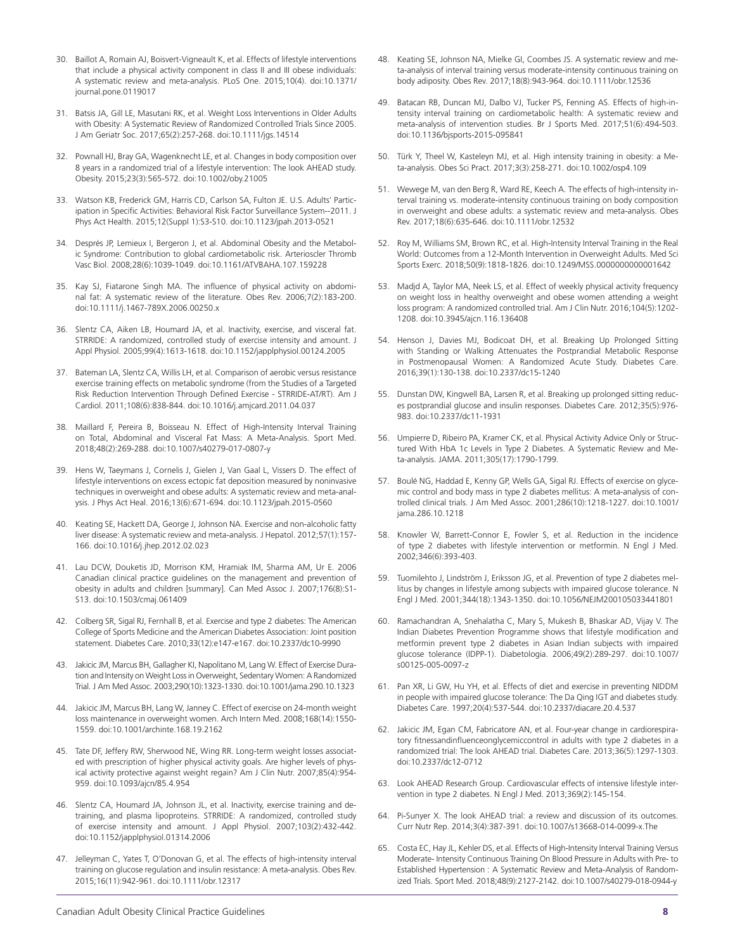- 30. Baillot A, Romain AJ, Boisvert-Vigneault K, et al. Effects of lifestyle interventions that include a physical activity component in class II and III obese individuals: A systematic review and meta-analysis. PLoS One. 2015;10(4). doi:10.1371/ journal.pone.0119017
- 31. Batsis JA, Gill LE, Masutani RK, et al. Weight Loss Interventions in Older Adults with Obesity: A Systematic Review of Randomized Controlled Trials Since 2005. J Am Geriatr Soc. 2017;65(2):257-268. doi:10.1111/jgs.14514
- 32. Pownall HJ, Bray GA, Wagenknecht LE, et al. Changes in body composition over 8 years in a randomized trial of a lifestyle intervention: The look AHEAD study. Obesity. 2015;23(3):565-572. doi:10.1002/oby.21005
- 33. Watson KB, Frederick GM, Harris CD, Carlson SA, Fulton JE. U.S. Adults' Participation in Specific Activities: Behavioral Risk Factor Surveillance System--2011. J Phys Act Health. 2015;12(Suppl 1):S3-S10. doi:10.1123/jpah.2013-0521
- 34. Després JP, Lemieux I, Bergeron J, et al. Abdominal Obesity and the Metabolic Syndrome: Contribution to global cardiometabolic risk. Arterioscler Thromb Vasc Biol. 2008;28(6):1039-1049. doi:10.1161/ATVBAHA.107.159228
- 35. Kay SJ, Fiatarone Singh MA. The influence of physical activity on abdominal fat: A systematic review of the literature. Obes Rev. 2006;7(2):183-200. doi:10.1111/j.1467-789X.2006.00250.x
- 36. Slentz CA, Aiken LB, Houmard JA, et al. Inactivity, exercise, and visceral fat. STRRIDE: A randomized, controlled study of exercise intensity and amount. J Appl Physiol. 2005;99(4):1613-1618. doi:10.1152/japplphysiol.00124.2005
- 37. Bateman LA, Slentz CA, Willis LH, et al. Comparison of aerobic versus resistance exercise training effects on metabolic syndrome (from the Studies of a Targeted Risk Reduction Intervention Through Defined Exercise - STRRIDE-AT/RT). Am J Cardiol. 2011;108(6):838-844. doi:10.1016/j.amjcard.2011.04.037
- 38. Maillard F, Pereira B, Boisseau N. Effect of High-Intensity Interval Training on Total, Abdominal and Visceral Fat Mass: A Meta-Analysis. Sport Med. 2018;48(2):269-288. doi:10.1007/s40279-017-0807-y
- 39. Hens W, Taeymans J, Cornelis J, Gielen J, Van Gaal L, Vissers D. The effect of lifestyle interventions on excess ectopic fat deposition measured by noninvasive techniques in overweight and obese adults: A systematic review and meta-analysis. J Phys Act Heal. 2016;13(6):671-694. doi:10.1123/jpah.2015-0560
- 40. Keating SE, Hackett DA, George J, Johnson NA. Exercise and non-alcoholic fatty liver disease: A systematic review and meta-analysis. J Hepatol. 2012;57(1):157- 166. doi:10.1016/j.jhep.2012.02.023
- 41. Lau DCW, Douketis JD, Morrison KM, Hramiak IM, Sharma AM, Ur E. 2006 Canadian clinical practice guidelines on the management and prevention of obesity in adults and children [summary]. Can Med Assoc J. 2007;176(8):S1- S13. doi:10.1503/cmaj.061409
- 42. Colberg SR, Sigal RJ, Fernhall B, et al. Exercise and type 2 diabetes: The American College of Sports Medicine and the American Diabetes Association: Joint position statement. Diabetes Care. 2010;33(12):e147-e167. doi:10.2337/dc10-9990
- 43. Jakicic JM, Marcus BH, Gallagher KI, Napolitano M, Lang W. Effect of Exercise Duration and Intensity on Weight Lossin Overweight, Sedentary Women: A Randomized Trial. J Am Med Assoc. 2003;290(10):1323-1330. doi:10.1001/jama.290.10.1323
- 44. Jakicic JM, Marcus BH, Lang W, Janney C. Effect of exercise on 24-month weight loss maintenance in overweight women. Arch Intern Med. 2008;168(14):1550- 1559. doi:10.1001/archinte.168.19.2162
- 45. Tate DF, Jeffery RW, Sherwood NE, Wing RR. Long-term weight losses associated with prescription of higher physical activity goals. Are higher levels of physical activity protective against weight regain? Am J Clin Nutr. 2007;85(4):954- 959. doi:10.1093/ajcn/85.4.954
- 46. Slentz CA, Houmard JA, Johnson JL, et al. Inactivity, exercise training and detraining, and plasma lipoproteins. STRRIDE: A randomized, controlled study of exercise intensity and amount. J Appl Physiol. 2007;103(2):432-442. doi:10.1152/japplphysiol.01314.2006
- 47. Jelleyman C, Yates T, O'Donovan G, et al. The effects of high-intensity interval training on glucose regulation and insulin resistance: A meta-analysis. Obes Rev. 2015;16(11):942-961. doi:10.1111/obr.12317
- 48. Keating SE, Johnson NA, Mielke GI, Coombes JS. A systematic review and meta-analysis of interval training versus moderate-intensity continuous training on body adiposity. Obes Rev. 2017;18(8):943-964. doi:10.1111/obr.12536
- 49. Batacan RB, Duncan MJ, Dalbo VJ, Tucker PS, Fenning AS. Effects of high-intensity interval training on cardiometabolic health: A systematic review and meta-analysis of intervention studies. Br J Sports Med. 2017;51(6):494-503. doi:10.1136/bjsports-2015-095841
- 50. Türk Y, Theel W, Kasteleyn MJ, et al. High intensity training in obesity: a Meta-analysis. Obes Sci Pract. 2017;3(3):258-271. doi:10.1002/osp4.109
- 51. Wewege M, van den Berg R, Ward RE, Keech A. The effects of high-intensity interval training vs. moderate-intensity continuous training on body composition in overweight and obese adults: a systematic review and meta-analysis. Obes Rev. 2017;18(6):635-646. doi:10.1111/obr.12532
- 52. Roy M, Williams SM, Brown RC, et al. High-Intensity Interval Training in the Real World: Outcomes from a 12-Month Intervention in Overweight Adults. Med Sci Sports Exerc. 2018;50(9):1818-1826. doi:10.1249/MSS.0000000000001642
- 53. Madjd A, Taylor MA, Neek LS, et al. Effect of weekly physical activity frequency on weight loss in healthy overweight and obese women attending a weight loss program: A randomized controlled trial. Am J Clin Nutr. 2016;104(5):1202- 1208. doi:10.3945/ajcn.116.136408
- 54. Henson J, Davies MJ, Bodicoat DH, et al. Breaking Up Prolonged Sitting with Standing or Walking Attenuates the Postprandial Metabolic Response in Postmenopausal Women: A Randomized Acute Study. Diabetes Care. 2016;39(1):130-138. doi:10.2337/dc15-1240
- 55. Dunstan DW, Kingwell BA, Larsen R, et al. Breaking up prolonged sitting reduces postprandial glucose and insulin responses. Diabetes Care. 2012;35(5):976- 983. doi:10.2337/dc11-1931
- 56. Umpierre D, Ribeiro PA, Kramer CK, et al. Physical Activity Advice Only or Structured With HbA 1c Levels in Type 2 Diabetes. A Systematic Review and Meta-analysis. JAMA. 2011;305(17):1790-1799.
- 57. Boulé NG, Haddad E, Kenny GP, Wells GA, Sigal RJ. Effects of exercise on glycemic control and body mass in type 2 diabetes mellitus: A meta-analysis of controlled clinical trials. J Am Med Assoc. 2001;286(10):1218-1227. doi:10.1001/ jama.286.10.1218
- 58. Knowler W, Barrett-Connor E, Fowler S, et al. Reduction in the incidence of type 2 diabetes with lifestyle intervention or metformin. N Engl J Med. 2002;346(6):393-403.
- 59. Tuomilehto J, Lindström J, Eriksson JG, et al. Prevention of type 2 diabetes mellitus by changes in lifestyle among subjects with impaired glucose tolerance. N Engl J Med. 2001;344(18):1343-1350. doi:10.1056/NEJM200105033441801
- 60. Ramachandran A, Snehalatha C, Mary S, Mukesh B, Bhaskar AD, Vijay V. The Indian Diabetes Prevention Programme shows that lifestyle modification and metformin prevent type 2 diabetes in Asian Indian subjects with impaired glucose tolerance (IDPP-1). Diabetologia. 2006;49(2):289-297. doi:10.1007/ s00125-005-0097-z
- 61. Pan XR, Li GW, Hu YH, et al. Effects of diet and exercise in preventing NIDDM in people with impaired glucose tolerance: The Da Qing IGT and diabetes study. Diabetes Care. 1997;20(4):537-544. doi:10.2337/diacare.20.4.537
- 62. Jakicic JM, Egan CM, Fabricatore AN, et al. Four-year change in cardiorespiratory fitnessandinfluenceonglycemiccontrol in adults with type 2 diabetes in a randomized trial: The look AHEAD trial. Diabetes Care. 2013;36(5):1297-1303. doi:10.2337/dc12-0712
- 63. Look AHEAD Research Group. Cardiovascular effects of intensive lifestyle intervention in type 2 diabetes. N Engl J Med. 2013;369(2):145-154.
- 64. Pi-Sunyer X. The look AHEAD trial: a review and discussion of its outcomes. Curr Nutr Rep. 2014;3(4):387-391. doi:10.1007/s13668-014-0099-x.The
- 65. Costa EC, Hay JL, Kehler DS, et al. Effects of High-Intensity Interval Training Versus Moderate- Intensity Continuous Training On Blood Pressure in Adults with Pre- to Established Hypertension : A Systematic Review and Meta-Analysis of Randomized Trials. Sport Med. 2018;48(9):2127-2142. doi:10.1007/s40279-018-0944-y